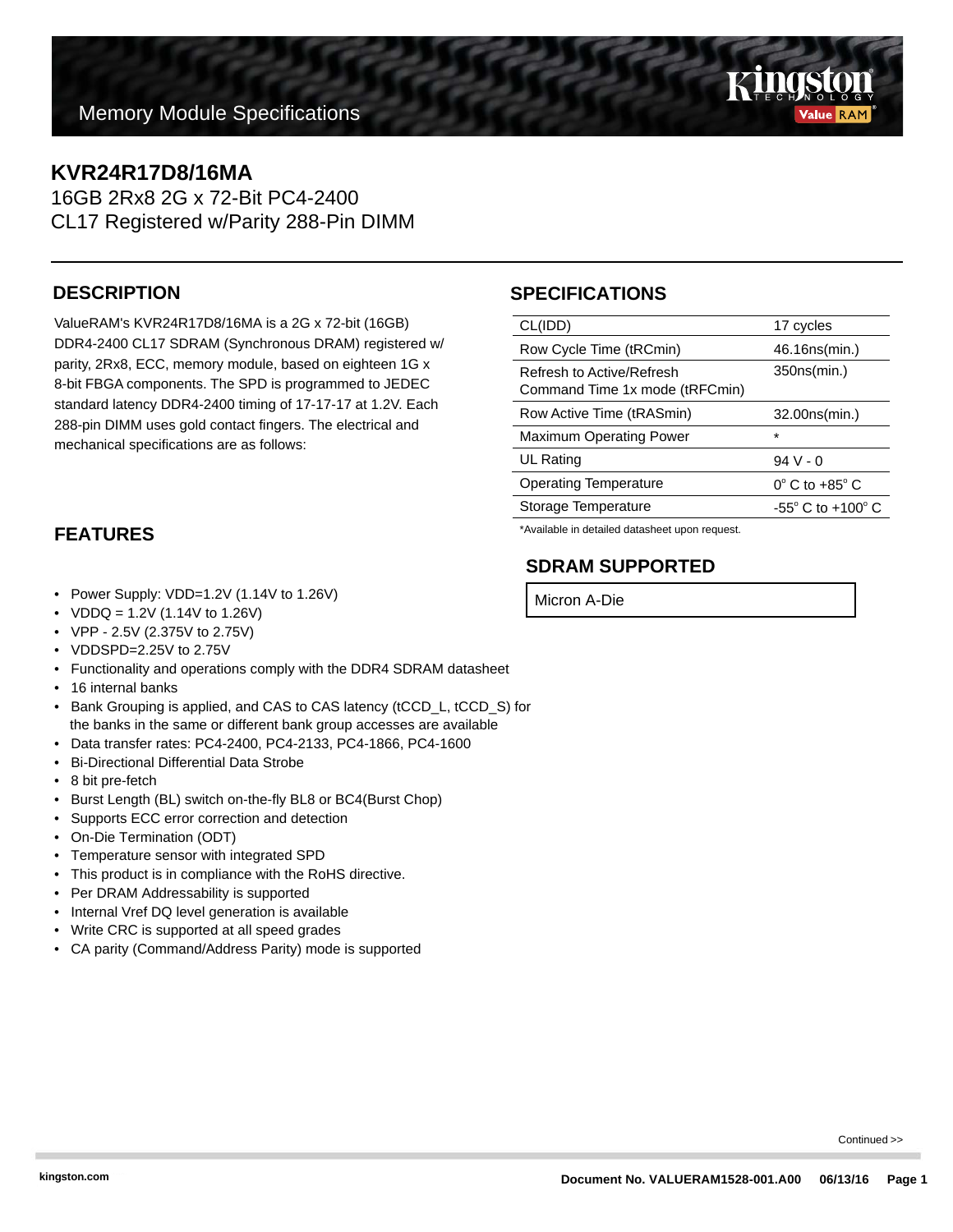## **Memory Module Specifications**

## **KVR24R17D8/16MA**

16GB 2Rx8 2G x 72-Bit PC4-2400 CL17 Registered w/Parity 288-Pin DIMM

#### **DESCRIPTION**

ValueRAM's KVR24R17D8/16MA is a 2G x 72-bit (16GB) DDR4-2400 CL17 SDRAM (Synchronous DRAM) registered w/ parity, 2Rx8, ECC, memory module, based on eighteen 1G x 8-bit FBGA components. The SPD is programmed to JEDEC standard latency DDR4-2400 timing of 17-17-17 at 1.2V. Each 288-pin DIMM uses gold contact fingers. The electrical and mechanical specifications are as follows:

### **FEATURES**

- Power Supply: VDD=1.2V (1.14V to 1.26V)
- $VDDQ = 1.2V (1.14V to 1.26V)$
- VPP 2.5V (2.375V to 2.75V)
- VDDSPD=2.25V to 2.75V
- Functionality and operations comply with the DDR4 SDRAM datasheet
- 16 internal banks
- Bank Grouping is applied, and CAS to CAS latency (tCCD\_L, tCCD\_S) for the banks in the same or different bank group accesses are available
- Data transfer rates: PC4-2400, PC4-2133, PC4-1866, PC4-1600
- Bi-Directional Differential Data Strobe
- 8 bit pre-fetch
- Burst Length (BL) switch on-the-fly BL8 or BC4(Burst Chop)
- Supports ECC error correction and detection
- On-Die Termination (ODT)
- Temperature sensor with integrated SPD
- This product is in compliance with the RoHS directive.
- Per DRAM Addressability is supported
- Internal Vref DQ level generation is available
- Write CRC is supported at all speed grades
- CA parity (Command/Address Parity) mode is supported

## **SPECIFICATIONS**

| CL(IDD)                                                     | 17 cycles                           |
|-------------------------------------------------------------|-------------------------------------|
| Row Cycle Time (tRCmin)                                     | 46.16ns(min.)                       |
| Refresh to Active/Refresh<br>Command Time 1x mode (tRFCmin) | 350ns(min.)                         |
| Row Active Time (tRASmin)                                   | 32.00ns(min.)                       |
| <b>Maximum Operating Power</b>                              | $\star$                             |
| <b>UL Rating</b>                                            | $94V - 0$                           |
| <b>Operating Temperature</b>                                | $0^\circ$ C to $+85^\circ$ C        |
| Storage Temperature                                         | $-55^{\circ}$ C to $+100^{\circ}$ C |
|                                                             |                                     |

\*Available in detailed datasheet upon request.

### **SDRAM SUPPORTED**

Micron A-Die